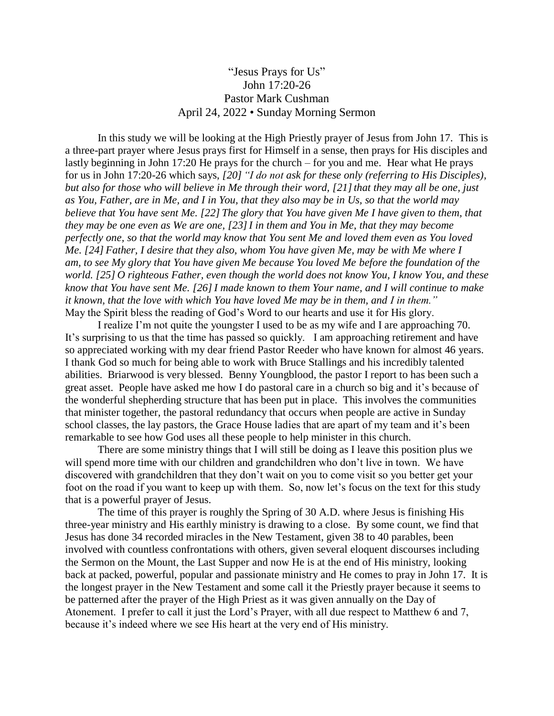## "Jesus Prays for Us" John 17:20-26 Pastor Mark Cushman April 24, 2022 • Sunday Morning Sermon

In this study we will be looking at the High Priestly prayer of Jesus from John 17. This is a three-part prayer where Jesus prays first for Himself in a sense, then prays for His disciples and lastly beginning in John 17:20 He prays for the church – for you and me. Hear what He prays for us in John 17:20-26 which says, *[20] "I do not ask for these only (referring to His Disciples), but also for those who will believe in Me through their word, [21]that they may all be one, just as You, Father, are in Me, and I in You, that they also may be in Us, so that the world may believe that You have sent Me. [22] The glory that You have given Me I have given to them, that they may be one even as We are one, [23]I in them and You in Me, that they may become perfectly one, so that the world may know that You sent Me and loved them even as You loved Me. [24] Father, I desire that they also, whom You have given Me, may be with Me where I am, to see My glory that You have given Me because You loved Me before the foundation of the world. [25] O righteous Father, even though the world does not know You, I know You, and these know that You have sent Me. [26]I made known to them Your name, and I will continue to make it known, that the love with which You have loved Me may be in them, and I in them."* May the Spirit bless the reading of God's Word to our hearts and use it for His glory.

I realize I'm not quite the youngster I used to be as my wife and I are approaching 70. It's surprising to us that the time has passed so quickly. I am approaching retirement and have so appreciated working with my dear friend Pastor Reeder who have known for almost 46 years. I thank God so much for being able to work with Bruce Stallings and his incredibly talented abilities. Briarwood is very blessed. Benny Youngblood, the pastor I report to has been such a great asset. People have asked me how I do pastoral care in a church so big and it's because of the wonderful shepherding structure that has been put in place. This involves the communities that minister together, the pastoral redundancy that occurs when people are active in Sunday school classes, the lay pastors, the Grace House ladies that are apart of my team and it's been remarkable to see how God uses all these people to help minister in this church.

There are some ministry things that I will still be doing as I leave this position plus we will spend more time with our children and grandchildren who don't live in town. We have discovered with grandchildren that they don't wait on you to come visit so you better get your foot on the road if you want to keep up with them. So, now let's focus on the text for this study that is a powerful prayer of Jesus.

The time of this prayer is roughly the Spring of 30 A.D. where Jesus is finishing His three-year ministry and His earthly ministry is drawing to a close. By some count, we find that Jesus has done 34 recorded miracles in the New Testament, given 38 to 40 parables, been involved with countless confrontations with others, given several eloquent discourses including the Sermon on the Mount, the Last Supper and now He is at the end of His ministry, looking back at packed, powerful, popular and passionate ministry and He comes to pray in John 17. It is the longest prayer in the New Testament and some call it the Priestly prayer because it seems to be patterned after the prayer of the High Priest as it was given annually on the Day of Atonement. I prefer to call it just the Lord's Prayer, with all due respect to Matthew 6 and 7, because it's indeed where we see His heart at the very end of His ministry.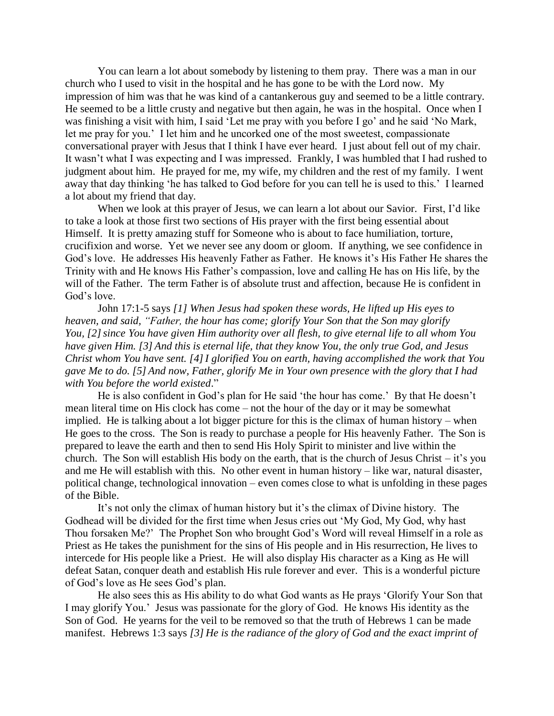You can learn a lot about somebody by listening to them pray. There was a man in our church who I used to visit in the hospital and he has gone to be with the Lord now. My impression of him was that he was kind of a cantankerous guy and seemed to be a little contrary. He seemed to be a little crusty and negative but then again, he was in the hospital. Once when I was finishing a visit with him, I said 'Let me pray with you before I go' and he said 'No Mark, let me pray for you.' I let him and he uncorked one of the most sweetest, compassionate conversational prayer with Jesus that I think I have ever heard. I just about fell out of my chair. It wasn't what I was expecting and I was impressed. Frankly, I was humbled that I had rushed to judgment about him. He prayed for me, my wife, my children and the rest of my family. I went away that day thinking 'he has talked to God before for you can tell he is used to this.' I learned a lot about my friend that day.

When we look at this prayer of Jesus, we can learn a lot about our Savior. First, I'd like to take a look at those first two sections of His prayer with the first being essential about Himself. It is pretty amazing stuff for Someone who is about to face humiliation, torture, crucifixion and worse. Yet we never see any doom or gloom. If anything, we see confidence in God's love. He addresses His heavenly Father as Father. He knows it's His Father He shares the Trinity with and He knows His Father's compassion, love and calling He has on His life, by the will of the Father. The term Father is of absolute trust and affection, because He is confident in God's love.

John 17:1-5 says *[1] When Jesus had spoken these words, He lifted up His eyes to heaven, and said, "Father, the hour has come; glorify Your Son that the Son may glorify You, [2]since You have given Him authority over all flesh, to give eternal life to all whom You have given Him. [3] And this is eternal life, that they know You, the only true God, and Jesus Christ whom You have sent. [4]I glorified You on earth, having accomplished the work that You gave Me to do. [5] And now, Father, glorify Me in Your own presence with the glory that I had with You before the world existed*."

He is also confident in God's plan for He said 'the hour has come.' By that He doesn't mean literal time on His clock has come – not the hour of the day or it may be somewhat implied. He is talking about a lot bigger picture for this is the climax of human history – when He goes to the cross. The Son is ready to purchase a people for His heavenly Father. The Son is prepared to leave the earth and then to send His Holy Spirit to minister and live within the church. The Son will establish His body on the earth, that is the church of Jesus Christ – it's you and me He will establish with this. No other event in human history – like war, natural disaster, political change, technological innovation – even comes close to what is unfolding in these pages of the Bible.

It's not only the climax of human history but it's the climax of Divine history. The Godhead will be divided for the first time when Jesus cries out 'My God, My God, why hast Thou forsaken Me?' The Prophet Son who brought God's Word will reveal Himself in a role as Priest as He takes the punishment for the sins of His people and in His resurrection, He lives to intercede for His people like a Priest. He will also display His character as a King as He will defeat Satan, conquer death and establish His rule forever and ever. This is a wonderful picture of God's love as He sees God's plan.

He also sees this as His ability to do what God wants as He prays 'Glorify Your Son that I may glorify You.' Jesus was passionate for the glory of God. He knows His identity as the Son of God. He yearns for the veil to be removed so that the truth of Hebrews 1 can be made manifest. Hebrews 1:3 says *[3] He is the radiance of the glory of God and the exact imprint of*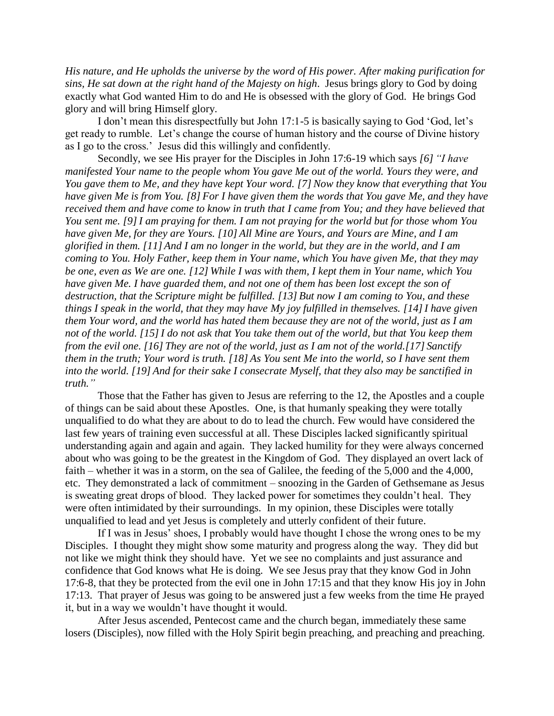*His nature, and He upholds the universe by the word of His power. After making purification for sins, He sat down at the right hand of the Majesty on high*. Jesus brings glory to God by doing exactly what God wanted Him to do and He is obsessed with the glory of God. He brings God glory and will bring Himself glory.

I don't mean this disrespectfully but John 17:1-5 is basically saying to God 'God, let's get ready to rumble. Let's change the course of human history and the course of Divine history as I go to the cross.' Jesus did this willingly and confidently.

Secondly, we see His prayer for the Disciples in John 17:6-19 which says *[6] "I have manifested Your name to the people whom You gave Me out of the world. Yours they were, and You gave them to Me, and they have kept Your word. [7] Now they know that everything that You have given Me is from You. [8] For I have given them the words that You gave Me, and they have received them and have come to know in truth that I came from You; and they have believed that You sent me. [9]I am praying for them. I am not praying for the world but for those whom You have given Me, for they are Yours. [10] All Mine are Yours, and Yours are Mine, and I am glorified in them. [11] And I am no longer in the world, but they are in the world, and I am coming to You. Holy Father, keep them in Your name, which You have given Me, that they may be one, even as We are one. [12] While I was with them, I kept them in Your name, which You have given Me. I have guarded them, and not one of them has been lost except the son of destruction, that the Scripture might be fulfilled. [13] But now I am coming to You, and these things I speak in the world, that they may have My joy fulfilled in themselves. [14]I have given them Your word, and the world has hated them because they are not of the world, just as I am not of the world. [15]I do not ask that You take them out of the world, but that You keep them from the evil one. [16] They are not of the world, just as I am not of the world.[17] Sanctify them in the truth; Your word is truth. [18] As You sent Me into the world, so I have sent them into the world. [19] And for their sake I consecrate Myself, that they also may be sanctified in truth."*

Those that the Father has given to Jesus are referring to the 12, the Apostles and a couple of things can be said about these Apostles. One, is that humanly speaking they were totally unqualified to do what they are about to do to lead the church. Few would have considered the last few years of training even successful at all. These Disciples lacked significantly spiritual understanding again and again and again. They lacked humility for they were always concerned about who was going to be the greatest in the Kingdom of God. They displayed an overt lack of faith – whether it was in a storm, on the sea of Galilee, the feeding of the 5,000 and the 4,000, etc. They demonstrated a lack of commitment – snoozing in the Garden of Gethsemane as Jesus is sweating great drops of blood. They lacked power for sometimes they couldn't heal. They were often intimidated by their surroundings. In my opinion, these Disciples were totally unqualified to lead and yet Jesus is completely and utterly confident of their future.

If I was in Jesus' shoes, I probably would have thought I chose the wrong ones to be my Disciples. I thought they might show some maturity and progress along the way. They did but not like we might think they should have. Yet we see no complaints and just assurance and confidence that God knows what He is doing. We see Jesus pray that they know God in John 17:6-8, that they be protected from the evil one in John 17:15 and that they know His joy in John 17:13. That prayer of Jesus was going to be answered just a few weeks from the time He prayed it, but in a way we wouldn't have thought it would.

After Jesus ascended, Pentecost came and the church began, immediately these same losers (Disciples), now filled with the Holy Spirit begin preaching, and preaching and preaching.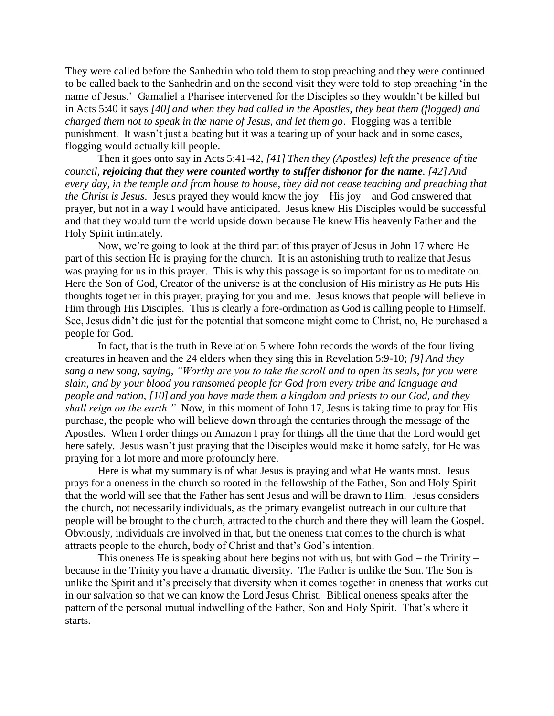They were called before the Sanhedrin who told them to stop preaching and they were continued to be called back to the Sanhedrin and on the second visit they were told to stop preaching 'in the name of Jesus.' Gamaliel a Pharisee intervened for the Disciples so they wouldn't be killed but in Acts 5:40 it says *[40] and when they had called in the Apostles, they beat them (flogged) and charged them not to speak in the name of Jesus, and let them go*. Flogging was a terrible punishment. It wasn't just a beating but it was a tearing up of your back and in some cases, flogging would actually kill people.

Then it goes onto say in Acts 5:41-42, *[41] Then they (Apostles) left the presence of the council, rejoicing that they were counted worthy to suffer dishonor for the name. [42] And every day, in the temple and from house to house, they did not cease teaching and preaching that the Christ is Jesus*. Jesus prayed they would know the joy – His joy – and God answered that prayer, but not in a way I would have anticipated. Jesus knew His Disciples would be successful and that they would turn the world upside down because He knew His heavenly Father and the Holy Spirit intimately.

Now, we're going to look at the third part of this prayer of Jesus in John 17 where He part of this section He is praying for the church. It is an astonishing truth to realize that Jesus was praying for us in this prayer. This is why this passage is so important for us to meditate on. Here the Son of God, Creator of the universe is at the conclusion of His ministry as He puts His thoughts together in this prayer, praying for you and me. Jesus knows that people will believe in Him through His Disciples. This is clearly a fore-ordination as God is calling people to Himself. See, Jesus didn't die just for the potential that someone might come to Christ, no, He purchased a people for God.

In fact, that is the truth in Revelation 5 where John records the words of the four living creatures in heaven and the 24 elders when they sing this in Revelation 5:9-10; *[9] And they sang a new song, saying, "Worthy are you to take the scroll and to open its seals, for you were slain, and by your blood you ransomed people for God from every tribe and language and people and nation, [10] and you have made them a kingdom and priests to our God, and they shall reign on the earth."* Now, in this moment of John 17, Jesus is taking time to pray for His purchase, the people who will believe down through the centuries through the message of the Apostles. When I order things on Amazon I pray for things all the time that the Lord would get here safely. Jesus wasn't just praying that the Disciples would make it home safely, for He was praying for a lot more and more profoundly here.

Here is what my summary is of what Jesus is praying and what He wants most. Jesus prays for a oneness in the church so rooted in the fellowship of the Father, Son and Holy Spirit that the world will see that the Father has sent Jesus and will be drawn to Him. Jesus considers the church, not necessarily individuals, as the primary evangelist outreach in our culture that people will be brought to the church, attracted to the church and there they will learn the Gospel. Obviously, individuals are involved in that, but the oneness that comes to the church is what attracts people to the church, body of Christ and that's God's intention.

This oneness He is speaking about here begins not with us, but with  $God - the Trinity$ because in the Trinity you have a dramatic diversity. The Father is unlike the Son. The Son is unlike the Spirit and it's precisely that diversity when it comes together in oneness that works out in our salvation so that we can know the Lord Jesus Christ. Biblical oneness speaks after the pattern of the personal mutual indwelling of the Father, Son and Holy Spirit. That's where it starts.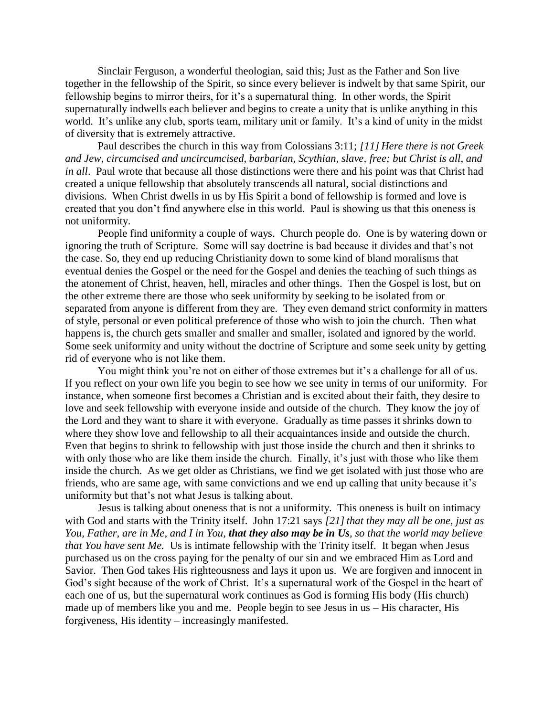Sinclair Ferguson, a wonderful theologian, said this; Just as the Father and Son live together in the fellowship of the Spirit, so since every believer is indwelt by that same Spirit, our fellowship begins to mirror theirs, for it's a supernatural thing. In other words, the Spirit supernaturally indwells each believer and begins to create a unity that is unlike anything in this world. It's unlike any club, sports team, military unit or family. It's a kind of unity in the midst of diversity that is extremely attractive.

Paul describes the church in this way from Colossians 3:11; *[11] Here there is not Greek and Jew, circumcised and uncircumcised, barbarian, Scythian, slave, free; but Christ is all, and in all*. Paul wrote that because all those distinctions were there and his point was that Christ had created a unique fellowship that absolutely transcends all natural, social distinctions and divisions. When Christ dwells in us by His Spirit a bond of fellowship is formed and love is created that you don't find anywhere else in this world. Paul is showing us that this oneness is not uniformity.

People find uniformity a couple of ways. Church people do. One is by watering down or ignoring the truth of Scripture. Some will say doctrine is bad because it divides and that's not the case. So, they end up reducing Christianity down to some kind of bland moralisms that eventual denies the Gospel or the need for the Gospel and denies the teaching of such things as the atonement of Christ, heaven, hell, miracles and other things. Then the Gospel is lost, but on the other extreme there are those who seek uniformity by seeking to be isolated from or separated from anyone is different from they are. They even demand strict conformity in matters of style, personal or even political preference of those who wish to join the church. Then what happens is, the church gets smaller and smaller and smaller, isolated and ignored by the world. Some seek uniformity and unity without the doctrine of Scripture and some seek unity by getting rid of everyone who is not like them.

You might think you're not on either of those extremes but it's a challenge for all of us. If you reflect on your own life you begin to see how we see unity in terms of our uniformity. For instance, when someone first becomes a Christian and is excited about their faith, they desire to love and seek fellowship with everyone inside and outside of the church. They know the joy of the Lord and they want to share it with everyone. Gradually as time passes it shrinks down to where they show love and fellowship to all their acquaintances inside and outside the church. Even that begins to shrink to fellowship with just those inside the church and then it shrinks to with only those who are like them inside the church. Finally, it's just with those who like them inside the church. As we get older as Christians, we find we get isolated with just those who are friends, who are same age, with same convictions and we end up calling that unity because it's uniformity but that's not what Jesus is talking about.

Jesus is talking about oneness that is not a uniformity. This oneness is built on intimacy with God and starts with the Trinity itself. John 17:21 says [21] that they may all be one, just as *You, Father, are in Me, and I in You, that they also may be in Us, so that the world may believe that You have sent Me.* Us is intimate fellowship with the Trinity itself. It began when Jesus purchased us on the cross paying for the penalty of our sin and we embraced Him as Lord and Savior. Then God takes His righteousness and lays it upon us. We are forgiven and innocent in God's sight because of the work of Christ. It's a supernatural work of the Gospel in the heart of each one of us, but the supernatural work continues as God is forming His body (His church) made up of members like you and me. People begin to see Jesus in us – His character, His forgiveness, His identity – increasingly manifested.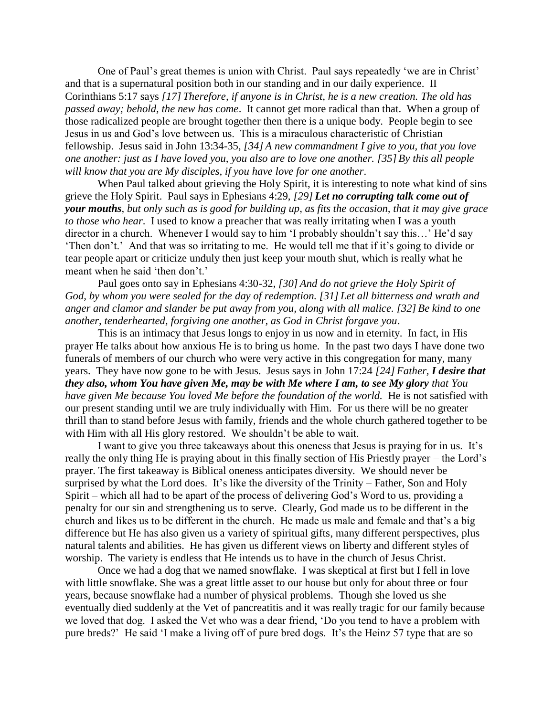One of Paul's great themes is union with Christ. Paul says repeatedly 'we are in Christ' and that is a supernatural position both in our standing and in our daily experience. II Corinthians 5:17 says *[17] Therefore, if anyone is in Christ, he is a new creation. The old has passed away; behold, the new has come*. It cannot get more radical than that. When a group of those radicalized people are brought together then there is a unique body. People begin to see Jesus in us and God's love between us. This is a miraculous characteristic of Christian fellowship. Jesus said in John 13:34-35, *[34] A new commandment I give to you, that you love one another: just as I have loved you, you also are to love one another. [35] By this all people will know that you are My disciples, if you have love for one another*.

When Paul talked about grieving the Holy Spirit, it is interesting to note what kind of sins grieve the Holy Spirit. Paul says in Ephesians 4:29, *[29] Let no corrupting talk come out of your mouths, but only such as is good for building up, as fits the occasion, that it may give grace to those who hear*. I used to know a preacher that was really irritating when I was a youth director in a church. Whenever I would say to him 'I probably shouldn't say this…' He'd say 'Then don't.' And that was so irritating to me. He would tell me that if it's going to divide or tear people apart or criticize unduly then just keep your mouth shut, which is really what he meant when he said 'then don't.'

Paul goes onto say in Ephesians 4:30-32, *[30] And do not grieve the Holy Spirit of God, by whom you were sealed for the day of redemption. [31] Let all bitterness and wrath and anger and clamor and slander be put away from you, along with all malice. [32] Be kind to one another, tenderhearted, forgiving one another, as God in Christ forgave you*.

This is an intimacy that Jesus longs to enjoy in us now and in eternity. In fact, in His prayer He talks about how anxious He is to bring us home. In the past two days I have done two funerals of members of our church who were very active in this congregation for many, many years. They have now gone to be with Jesus. Jesus says in John 17:24 *[24] Father, I desire that they also, whom You have given Me, may be with Me where I am, to see My glory that You have given Me because You loved Me before the foundation of the world.* He is not satisfied with our present standing until we are truly individually with Him. For us there will be no greater thrill than to stand before Jesus with family, friends and the whole church gathered together to be with Him with all His glory restored. We shouldn't be able to wait.

I want to give you three takeaways about this oneness that Jesus is praying for in us. It's really the only thing He is praying about in this finally section of His Priestly prayer – the Lord's prayer. The first takeaway is Biblical oneness anticipates diversity. We should never be surprised by what the Lord does. It's like the diversity of the Trinity – Father, Son and Holy Spirit – which all had to be apart of the process of delivering God's Word to us, providing a penalty for our sin and strengthening us to serve. Clearly, God made us to be different in the church and likes us to be different in the church. He made us male and female and that's a big difference but He has also given us a variety of spiritual gifts, many different perspectives, plus natural talents and abilities. He has given us different views on liberty and different styles of worship. The variety is endless that He intends us to have in the church of Jesus Christ.

Once we had a dog that we named snowflake. I was skeptical at first but I fell in love with little snowflake. She was a great little asset to our house but only for about three or four years, because snowflake had a number of physical problems. Though she loved us she eventually died suddenly at the Vet of pancreatitis and it was really tragic for our family because we loved that dog. I asked the Vet who was a dear friend, 'Do you tend to have a problem with pure breds?' He said 'I make a living off of pure bred dogs. It's the Heinz 57 type that are so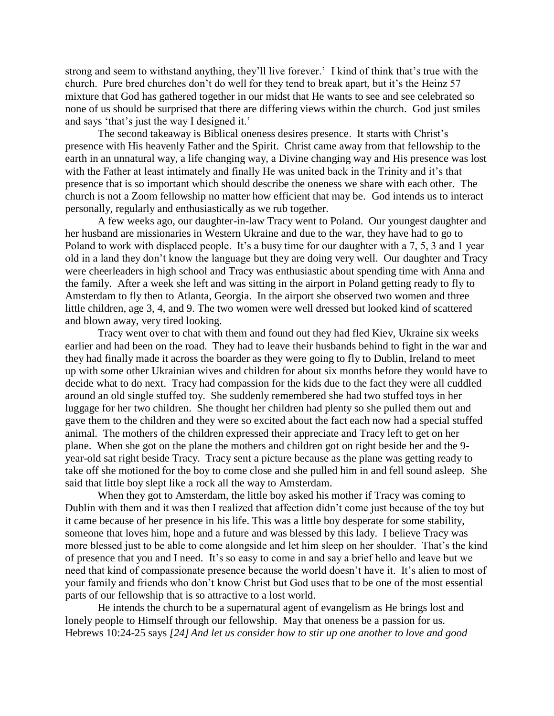strong and seem to withstand anything, they'll live forever.' I kind of think that's true with the church. Pure bred churches don't do well for they tend to break apart, but it's the Heinz 57 mixture that God has gathered together in our midst that He wants to see and see celebrated so none of us should be surprised that there are differing views within the church. God just smiles and says 'that's just the way I designed it.'

The second takeaway is Biblical oneness desires presence. It starts with Christ's presence with His heavenly Father and the Spirit. Christ came away from that fellowship to the earth in an unnatural way, a life changing way, a Divine changing way and His presence was lost with the Father at least intimately and finally He was united back in the Trinity and it's that presence that is so important which should describe the oneness we share with each other. The church is not a Zoom fellowship no matter how efficient that may be. God intends us to interact personally, regularly and enthusiastically as we rub together.

A few weeks ago, our daughter-in-law Tracy went to Poland. Our youngest daughter and her husband are missionaries in Western Ukraine and due to the war, they have had to go to Poland to work with displaced people. It's a busy time for our daughter with a 7, 5, 3 and 1 year old in a land they don't know the language but they are doing very well. Our daughter and Tracy were cheerleaders in high school and Tracy was enthusiastic about spending time with Anna and the family. After a week she left and was sitting in the airport in Poland getting ready to fly to Amsterdam to fly then to Atlanta, Georgia. In the airport she observed two women and three little children, age 3, 4, and 9. The two women were well dressed but looked kind of scattered and blown away, very tired looking.

Tracy went over to chat with them and found out they had fled Kiev, Ukraine six weeks earlier and had been on the road. They had to leave their husbands behind to fight in the war and they had finally made it across the boarder as they were going to fly to Dublin, Ireland to meet up with some other Ukrainian wives and children for about six months before they would have to decide what to do next. Tracy had compassion for the kids due to the fact they were all cuddled around an old single stuffed toy. She suddenly remembered she had two stuffed toys in her luggage for her two children. She thought her children had plenty so she pulled them out and gave them to the children and they were so excited about the fact each now had a special stuffed animal. The mothers of the children expressed their appreciate and Tracy left to get on her plane. When she got on the plane the mothers and children got on right beside her and the 9 year-old sat right beside Tracy. Tracy sent a picture because as the plane was getting ready to take off she motioned for the boy to come close and she pulled him in and fell sound asleep. She said that little boy slept like a rock all the way to Amsterdam.

When they got to Amsterdam, the little boy asked his mother if Tracy was coming to Dublin with them and it was then I realized that affection didn't come just because of the toy but it came because of her presence in his life. This was a little boy desperate for some stability, someone that loves him, hope and a future and was blessed by this lady. I believe Tracy was more blessed just to be able to come alongside and let him sleep on her shoulder. That's the kind of presence that you and I need. It's so easy to come in and say a brief hello and leave but we need that kind of compassionate presence because the world doesn't have it. It's alien to most of your family and friends who don't know Christ but God uses that to be one of the most essential parts of our fellowship that is so attractive to a lost world.

He intends the church to be a supernatural agent of evangelism as He brings lost and lonely people to Himself through our fellowship. May that oneness be a passion for us. Hebrews 10:24-25 says *[24] And let us consider how to stir up one another to love and good*